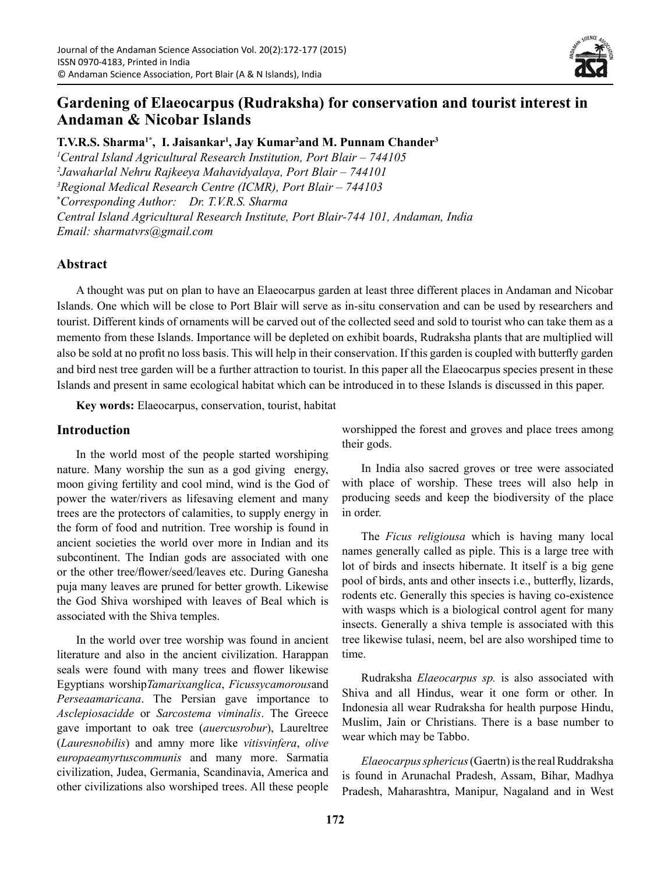

# **Gardening of Elaeocarpus (Rudraksha) for conservation and tourist interest in Andaman & Nicobar Islands**

**T.V.R.S. Sharma1\*, I. Jaisankar1 , Jay Kumar2 and M. Punnam Chander3** *1 Central Island Agricultural Research Institution, Port Blair – 744105 2 Jawaharlal Nehru Rajkeeya Mahavidyalaya, Port Blair – 744101 3 Regional Medical Research Centre (ICMR), Port Blair – 744103* **\*** *Corresponding Author: Dr. T.V.R.S. Sharma Central Island Agricultural Research Institute, Port Blair-744 101, Andaman, India Email: sharmatvrs@gmail.com*

## **Abstract**

A thought was put on plan to have an Elaeocarpus garden at least three different places in Andaman and Nicobar Islands. One which will be close to Port Blair will serve as in-situ conservation and can be used by researchers and tourist. Different kinds of ornaments will be carved out of the collected seed and sold to tourist who can take them as a memento from these Islands. Importance will be depleted on exhibit boards, Rudraksha plants that are multiplied will also be sold at no profit no loss basis. This will help in their conservation. If this garden is coupled with butterfly garden and bird nest tree garden will be a further attraction to tourist. In this paper all the Elaeocarpus species present in these Islands and present in same ecological habitat which can be introduced in to these Islands is discussed in this paper.

**Key words:** Elaeocarpus, conservation, tourist, habitat

#### **Introduction**

In the world most of the people started worshiping nature. Many worship the sun as a god giving energy, moon giving fertility and cool mind, wind is the God of power the water/rivers as lifesaving element and many trees are the protectors of calamities, to supply energy in the form of food and nutrition. Tree worship is found in ancient societies the world over more in Indian and its subcontinent. The Indian gods are associated with one or the other tree/flower/seed/leaves etc. During Ganesha puja many leaves are pruned for better growth. Likewise the God Shiva worshiped with leaves of Beal which is associated with the Shiva temples.

In the world over tree worship was found in ancient literature and also in the ancient civilization. Harappan seals were found with many trees and flower likewise Egyptians worship*Tamarixanglica*, *Ficussycamorous*and *Perseaamaricana*. The Persian gave importance to *Asclepiosacidde* or *Sarcostema viminalis*. The Greece gave important to oak tree (*auercusrobur*), Laureltree (*Lauresnobilis*) and amny more like *vitisvinfera*, *olive europaeamyrtuscommunis* and many more. Sarmatia civilization, Judea, Germania, Scandinavia, America and other civilizations also worshiped trees. All these people worshipped the forest and groves and place trees among their gods.

In India also sacred groves or tree were associated with place of worship. These trees will also help in producing seeds and keep the biodiversity of the place in order.

The *Ficus religiousa* which is having many local names generally called as piple. This is a large tree with lot of birds and insects hibernate. It itself is a big gene pool of birds, ants and other insects i.e., butterfly, lizards, rodents etc. Generally this species is having co-existence with wasps which is a biological control agent for many insects. Generally a shiva temple is associated with this tree likewise tulasi, neem, bel are also worshiped time to time.

Rudraksha *Elaeocarpus sp.* is also associated with Shiva and all Hindus, wear it one form or other. In Indonesia all wear Rudraksha for health purpose Hindu, Muslim, Jain or Christians. There is a base number to wear which may be Tabbo.

*Elaeocarpus sphericus* (Gaertn) is the real Ruddraksha is found in Arunachal Pradesh, Assam, Bihar, Madhya Pradesh, Maharashtra, Manipur, Nagaland and in West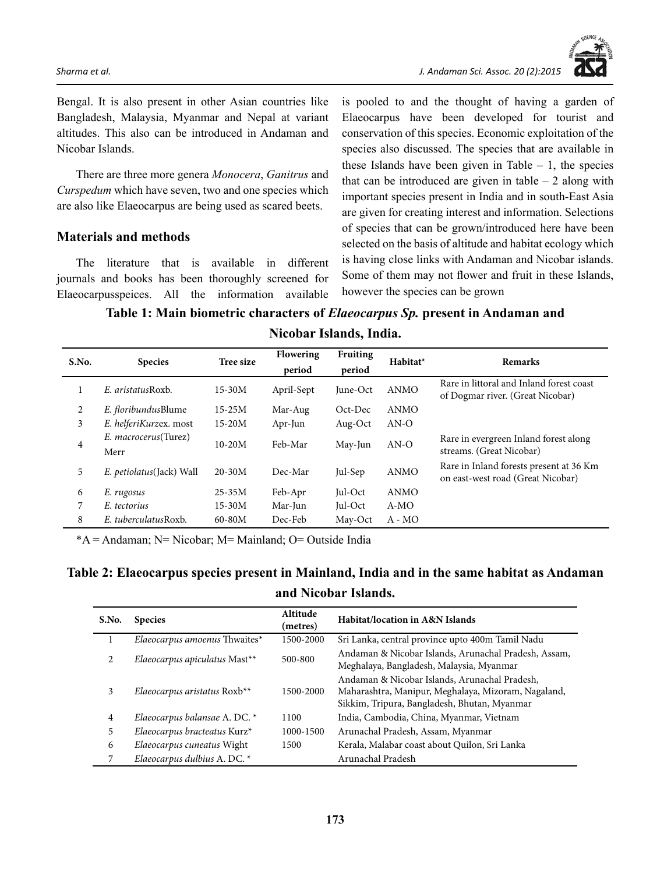

Bengal. It is also present in other Asian countries like Bangladesh, Malaysia, Myanmar and Nepal at variant altitudes. This also can be introduced in Andaman and Nicobar Islands.

There are three more genera *Monocera*, *Ganitrus* and *Curspedum* which have seven, two and one species which are also like Elaeocarpus are being used as scared beets.

## **Materials and methods**

The literature that is available in different journals and books has been thoroughly screened for Elaeocarpusspeices. All the information available

is pooled to and the thought of having a garden of Elaeocarpus have been developed for tourist and conservation of this species. Economic exploitation of the species also discussed. The species that are available in these Islands have been given in Table  $-1$ , the species that can be introduced are given in table  $-2$  along with important species present in India and in south-East Asia are given for creating interest and information. Selections of species that can be grown/introduced here have been selected on the basis of altitude and habitat ecology which is having close links with Andaman and Nicobar islands. Some of them may not flower and fruit in these Islands, however the species can be grown

**Table 1: Main biometric characters of** *Elaeocarpus Sp.* **present in Andaman and Nicobar Islands, India.**

| S.No.          | <b>Species</b>           | Tree size  | <b>Flowering</b> | <b>Fruiting</b> | Habitat*    | <b>Remarks</b>                                                               |
|----------------|--------------------------|------------|------------------|-----------------|-------------|------------------------------------------------------------------------------|
|                |                          |            | period           | period          |             |                                                                              |
| 1              | E. aristatusRoxb.        | $15 - 30M$ | April-Sept       | June-Oct        | <b>ANMO</b> | Rare in littoral and Inland forest coast<br>of Dogmar river. (Great Nicobar) |
| 2              | E. floribundusBlume      | $15 - 25M$ | Mar-Aug          | Oct-Dec         | ANMO        |                                                                              |
| 3              | E. helferiKurzex. most   | $15-20M$   | Apr-Jun          | Aug-Oct         | $AN-O$      |                                                                              |
| $\overline{4}$ | E. macrocerus(Turez)     | $10-20M$   | Feb-Mar          | May-Jun         | $AN-O$      | Rare in evergreen Inland forest along                                        |
|                | Merr                     |            |                  |                 |             | streams. (Great Nicobar)                                                     |
| 5              | E. petiolatus(Jack) Wall | $20 - 30M$ | Dec-Mar          | Jul-Sep         | <b>ANMO</b> | Rare in Inland forests present at 36 Km<br>on east-west road (Great Nicobar) |
| 6              | E. rugosus               | $25 - 35M$ | Feb-Apr          | Jul-Oct         | <b>ANMO</b> |                                                                              |
| 7              | E. tectorius             | 15-30M     | Mar-Jun          | Jul-Oct         | $A-MO$      |                                                                              |
| 8              | E. tuberculatusRoxb.     | $60 - 80M$ | Dec-Feb          | May-Oct         | $A - MO$    |                                                                              |

\*A = Andaman; N= Nicobar; M= Mainland; O= Outside India

## **Table 2: Elaeocarpus species present in Mainland, India and in the same habitat as Andaman and Nicobar Islands.**

| S.No.          | <b>Species</b>                | Altitude<br>(metres) | Habitat/location in A&N Islands                                                                                                                      |
|----------------|-------------------------------|----------------------|------------------------------------------------------------------------------------------------------------------------------------------------------|
|                | Elaeocarpus amoenus Thwaites* | 1500-2000            | Sri Lanka, central province upto 400m Tamil Nadu                                                                                                     |
| 2              | Elaeocarpus apiculatus Mast** | 500-800              | Andaman & Nicobar Islands, Arunachal Pradesh, Assam,<br>Meghalaya, Bangladesh, Malaysia, Myanmar                                                     |
| 3              | Elaeocarpus aristatus Roxb**  | 1500-2000            | Andaman & Nicobar Islands, Arunachal Pradesh,<br>Maharashtra, Manipur, Meghalaya, Mizoram, Nagaland,<br>Sikkim, Tripura, Bangladesh, Bhutan, Myanmar |
| $\overline{4}$ | Elaeocarpus balansae A. DC. * | 1100                 | India, Cambodia, China, Myanmar, Vietnam                                                                                                             |
| 5              | Elaeocarpus bracteatus Kurz*  | 1000-1500            | Arunachal Pradesh, Assam, Myanmar                                                                                                                    |
| 6              | Elaeocarpus cuneatus Wight    | 1500                 | Kerala, Malabar coast about Quilon, Sri Lanka                                                                                                        |
| 7              | Elaeocarpus dulbius A. DC. *  |                      | Arunachal Pradesh                                                                                                                                    |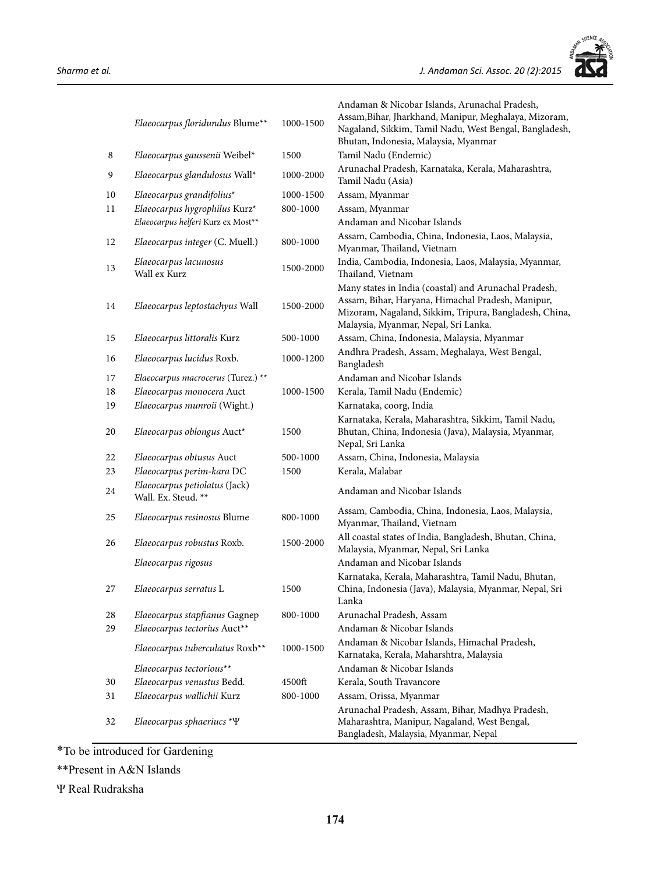

|    | Elaeocarpus floridundus Blume**                      | 1000-1500 | Andaman & Nicobar Islands, Arunachal Pradesh,<br>Assam, Bihar, Jharkhand, Manipur, Meghalaya, Mizoram,<br>Nagaland, Sikkim, Tamil Nadu, West Bengal, Bangladesh,<br>Bhutan, Indonesia, Malaysia, Myanmar     |
|----|------------------------------------------------------|-----------|--------------------------------------------------------------------------------------------------------------------------------------------------------------------------------------------------------------|
| 8  | Elaeocarpus gaussenii Weibel*                        | 1500      | Tamil Nadu (Endemic)                                                                                                                                                                                         |
| 9  | Elaeocarpus glandulosus Wall*                        | 1000-2000 | Arunachal Pradesh, Karnataka, Kerala, Maharashtra,<br>Tamil Nadu (Asia)                                                                                                                                      |
| 10 | Elaeocarpus grandifolius*                            | 1000-1500 | Assam, Myanmar                                                                                                                                                                                               |
| 11 | Elaeocarpus hygrophilus Kurz*                        | 800-1000  | Assam, Myanmar                                                                                                                                                                                               |
|    | Elaeocarpus helferi Kurz ex Most**                   |           | Andaman and Nicobar Islands                                                                                                                                                                                  |
| 12 | Elaeocarpus integer (C. Muell.)                      | 800-1000  | Assam, Cambodia, China, Indonesia, Laos, Malaysia,<br>Myanmar, Thailand, Vietnam                                                                                                                             |
| 13 | Elaeocarpus lacunosus<br>Wall ex Kurz                | 1500-2000 | India, Cambodia, Indonesia, Laos, Malaysia, Myanmar,<br>Thailand, Vietnam                                                                                                                                    |
| 14 | Elaeocarpus leptostachyus Wall                       | 1500-2000 | Many states in India (coastal) and Arunachal Pradesh,<br>Assam, Bihar, Haryana, Himachal Pradesh, Manipur,<br>Mizoram, Nagaland, Sikkim, Tripura, Bangladesh, China,<br>Malaysia, Myanmar, Nepal, Sri Lanka. |
| 15 | Elaeocarpus littoralis Kurz                          | 500-1000  | Assam, China, Indonesia, Malaysia, Myanmar                                                                                                                                                                   |
| 16 | Elaeocarpus lucidus Roxb.                            | 1000-1200 | Andhra Pradesh, Assam, Meghalaya, West Bengal,<br>Bangladesh                                                                                                                                                 |
| 17 | Elaeocarpus macrocerus (Turez.) **                   |           | Andaman and Nicobar Islands                                                                                                                                                                                  |
| 18 | Elaeocarpus monocera Auct                            | 1000-1500 | Kerala, Tamil Nadu (Endemic)                                                                                                                                                                                 |
| 19 | Elaeocarpus munroii (Wight.)                         |           | Karnataka, coorg, India                                                                                                                                                                                      |
| 20 | Elaeocarpus oblongus Auct*                           | 1500      | Karnataka, Kerala, Maharashtra, Sikkim, Tamil Nadu,<br>Bhutan, China, Indonesia (Java), Malaysia, Myanmar,<br>Nepal, Sri Lanka                                                                               |
| 22 | Elaeocarpus obtusus Auct                             | 500-1000  | Assam, China, Indonesia, Malaysia                                                                                                                                                                            |
| 23 | Elaeocarpus perim-kara DC                            | 1500      | Kerala, Malabar                                                                                                                                                                                              |
| 24 | Elaeocarpus petiolatus (Jack)<br>Wall. Ex. Steud. ** |           | Andaman and Nicobar Islands                                                                                                                                                                                  |
| 25 | Elaeocarpus resinosus Blume                          | 800-1000  | Assam, Cambodia, China, Indonesia, Laos, Malaysia,<br>Myanmar, Thailand, Vietnam                                                                                                                             |
| 26 | Elaeocarpus robustus Roxb.                           | 1500-2000 | All coastal states of India, Bangladesh, Bhutan, China,<br>Malaysia, Myanmar, Nepal, Sri Lanka                                                                                                               |
|    | Elaeocarpus rigosus                                  |           | Andaman and Nicobar Islands                                                                                                                                                                                  |
| 27 | Elaeocarpus serratus L                               | 1500      | Karnataka, Kerala, Maharashtra, Tamil Nadu, Bhutan,<br>China, Indonesia (Java), Malaysia, Myanmar, Nepal, Sri<br>Lanka                                                                                       |
| 28 | Elaeocarpus stapfianus Gagnep                        | 800-1000  | Arunachal Pradesh, Assam                                                                                                                                                                                     |
| 29 | Elaeocarpus tectorius Auct**                         |           | Andaman & Nicobar Islands                                                                                                                                                                                    |
|    | Elaeocarpus tuberculatus Roxb**                      | 1000-1500 | Andaman & Nicobar Islands, Himachal Pradesh,<br>Karnataka, Kerala, Maharshtra, Malaysia                                                                                                                      |
|    | Elaeocarpus tectorious**                             |           | Andaman & Nicobar Islands                                                                                                                                                                                    |
| 30 | Elaeocarpus venustus Bedd.                           | 4500ft    | Kerala, South Travancore                                                                                                                                                                                     |
| 31 | Elaeocarpus wallichii Kurz                           | 800-1000  | Assam, Orissa, Myanmar                                                                                                                                                                                       |
| 32 | Elaeocarpus sphaeriucs $*\Psi$                       |           | Arunachal Pradesh, Assam, Bihar, Madhya Pradesh,<br>Maharashtra, Manipur, Nagaland, West Bengal,<br>Bangladesh, Malaysia, Myanmar, Nepal                                                                     |

\*To be introduced for Gardening

\*\*Present in A&N Islands

Ψ Real Rudraksha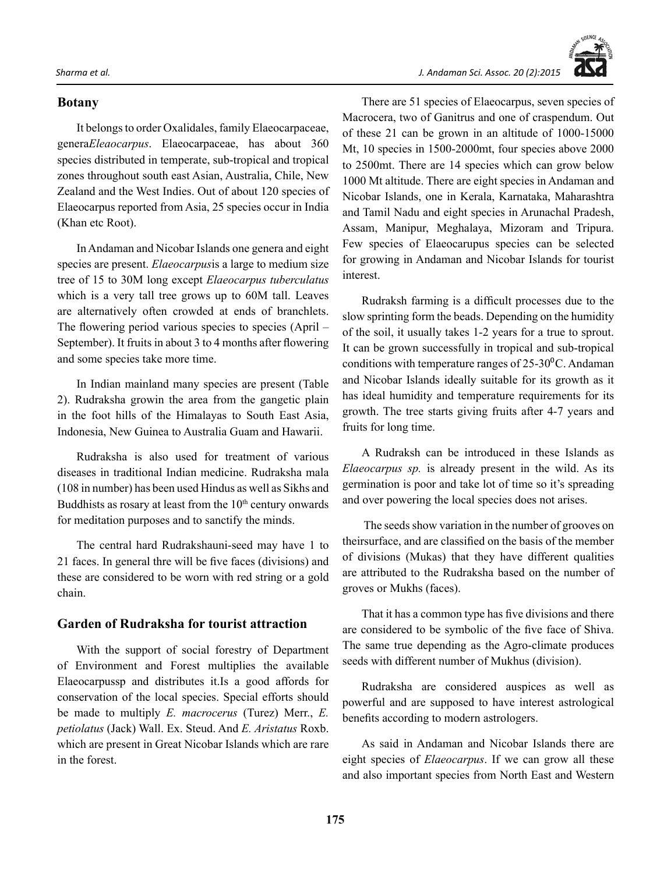#### **Botany**

It belongs to order Oxalidales, family Elaeocarpaceae, genera*Eleaocarpus*. Elaeocarpaceae, has about 360 species distributed in temperate, sub-tropical and tropical zones throughout south east Asian, Australia, Chile, New Zealand and the West Indies. Out of about 120 species of Elaeocarpus reported from Asia, 25 species occur in India (Khan etc Root).

In Andaman and Nicobar Islands one genera and eight species are present. *Elaeocarpus*is a large to medium size tree of 15 to 30M long except *Elaeocarpus tuberculatus* which is a very tall tree grows up to 60M tall. Leaves are alternatively often crowded at ends of branchlets. The flowering period various species to species (April – September). It fruits in about 3 to 4 months after flowering and some species take more time.

In Indian mainland many species are present (Table 2). Rudraksha growin the area from the gangetic plain in the foot hills of the Himalayas to South East Asia, Indonesia, New Guinea to Australia Guam and Hawarii.

Rudraksha is also used for treatment of various diseases in traditional Indian medicine. Rudraksha mala (108 in number) has been used Hindus as well as Sikhs and Buddhists as rosary at least from the  $10<sup>th</sup>$  century onwards for meditation purposes and to sanctify the minds.

The central hard Rudrakshauni-seed may have 1 to 21 faces. In general thre will be five faces (divisions) and these are considered to be worn with red string or a gold chain.

#### **Garden of Rudraksha for tourist attraction**

With the support of social forestry of Department of Environment and Forest multiplies the available Elaeocarpussp and distributes it.Is a good affords for conservation of the local species. Special efforts should be made to multiply *E. macrocerus* (Turez) Merr., *E. petiolatus* (Jack) Wall. Ex. Steud. And *E. Aristatus* Roxb. which are present in Great Nicobar Islands which are rare in the forest.

*Sharma et al. J. Andaman Sci. Assoc. 20 (2):2015*

There are 51 species of Elaeocarpus, seven species of Macrocera, two of Ganitrus and one of craspendum. Out of these 21 can be grown in an altitude of 1000-15000 Mt, 10 species in 1500-2000mt, four species above 2000 to 2500mt. There are 14 species which can grow below 1000 Mt altitude. There are eight species in Andaman and Nicobar Islands, one in Kerala, Karnataka, Maharashtra and Tamil Nadu and eight species in Arunachal Pradesh, Assam, Manipur, Meghalaya, Mizoram and Tripura. Few species of Elaeocarupus species can be selected for growing in Andaman and Nicobar Islands for tourist interest.

Rudraksh farming is a difficult processes due to the slow sprinting form the beads. Depending on the humidity of the soil, it usually takes 1-2 years for a true to sprout. It can be grown successfully in tropical and sub-tropical conditions with temperature ranges of  $25{\text -}30^{\circ}$ C. Andaman and Nicobar Islands ideally suitable for its growth as it has ideal humidity and temperature requirements for its growth. The tree starts giving fruits after 4-7 years and fruits for long time.

A Rudraksh can be introduced in these Islands as *Elaeocarpus sp.* is already present in the wild. As its germination is poor and take lot of time so it's spreading and over powering the local species does not arises.

 The seeds show variation in the number of grooves on theirsurface, and are classified on the basis of the member of divisions (Mukas) that they have different qualities are attributed to the Rudraksha based on the number of groves or Mukhs (faces).

That it has a common type has five divisions and there are considered to be symbolic of the five face of Shiva. The same true depending as the Agro-climate produces seeds with different number of Mukhus (division).

Rudraksha are considered auspices as well as powerful and are supposed to have interest astrological benefits according to modern astrologers.

As said in Andaman and Nicobar Islands there are eight species of *Elaeocarpus*. If we can grow all these and also important species from North East and Western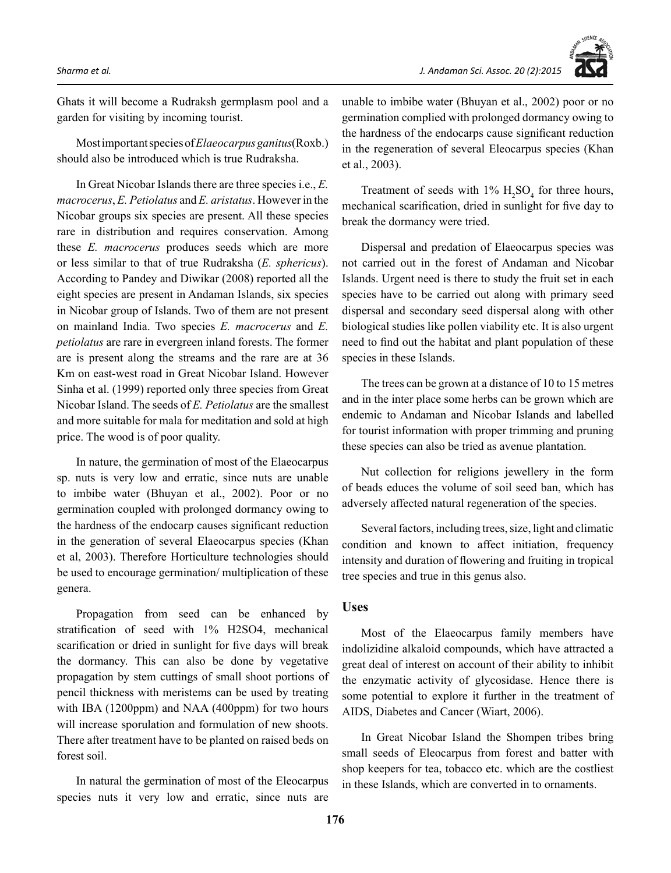

Ghats it will become a Rudraksh germplasm pool and a garden for visiting by incoming tourist.

Most important species of *Elaeocarpus ganitus*(Roxb.) should also be introduced which is true Rudraksha.

In Great Nicobar Islands there are three species i.e., *E. macrocerus*, *E. Petiolatus* and *E. aristatus*. However in the Nicobar groups six species are present. All these species rare in distribution and requires conservation. Among these *E. macrocerus* produces seeds which are more or less similar to that of true Rudraksha (*E. sphericus*). According to Pandey and Diwikar (2008) reported all the eight species are present in Andaman Islands, six species in Nicobar group of Islands. Two of them are not present on mainland India. Two species *E. macrocerus* and *E. petiolatus* are rare in evergreen inland forests. The former are is present along the streams and the rare are at 36 Km on east-west road in Great Nicobar Island. However Sinha et al. (1999) reported only three species from Great Nicobar Island. The seeds of *E. Petiolatus* are the smallest and more suitable for mala for meditation and sold at high price. The wood is of poor quality.

In nature, the germination of most of the Elaeocarpus sp. nuts is very low and erratic, since nuts are unable to imbibe water (Bhuyan et al., 2002). Poor or no germination coupled with prolonged dormancy owing to the hardness of the endocarp causes significant reduction in the generation of several Elaeocarpus species (Khan et al, 2003). Therefore Horticulture technologies should be used to encourage germination/ multiplication of these genera.

Propagation from seed can be enhanced by stratification of seed with 1% H2SO4, mechanical scarification or dried in sunlight for five days will break the dormancy. This can also be done by vegetative propagation by stem cuttings of small shoot portions of pencil thickness with meristems can be used by treating with IBA (1200ppm) and NAA (400ppm) for two hours will increase sporulation and formulation of new shoots. There after treatment have to be planted on raised beds on forest soil.

In natural the germination of most of the Eleocarpus species nuts it very low and erratic, since nuts are unable to imbibe water (Bhuyan et al., 2002) poor or no germination complied with prolonged dormancy owing to the hardness of the endocarps cause significant reduction in the regeneration of several Eleocarpus species (Khan et al., 2003).

Treatment of seeds with  $1\%$  H<sub>2</sub>SO<sub>4</sub> for three hours, mechanical scarification, dried in sunlight for five day to break the dormancy were tried.

Dispersal and predation of Elaeocarpus species was not carried out in the forest of Andaman and Nicobar Islands. Urgent need is there to study the fruit set in each species have to be carried out along with primary seed dispersal and secondary seed dispersal along with other biological studies like pollen viability etc. It is also urgent need to find out the habitat and plant population of these species in these Islands.

The trees can be grown at a distance of 10 to 15 metres and in the inter place some herbs can be grown which are endemic to Andaman and Nicobar Islands and labelled for tourist information with proper trimming and pruning these species can also be tried as avenue plantation.

Nut collection for religions jewellery in the form of beads educes the volume of soil seed ban, which has adversely affected natural regeneration of the species.

Several factors, including trees, size, light and climatic condition and known to affect initiation, frequency intensity and duration of flowering and fruiting in tropical tree species and true in this genus also.

## **Uses**

Most of the Elaeocarpus family members have indolizidine alkaloid compounds, which have attracted a great deal of interest on account of their ability to inhibit the enzymatic activity of glycosidase. Hence there is some potential to explore it further in the treatment of AIDS, Diabetes and Cancer (Wiart, 2006).

In Great Nicobar Island the Shompen tribes bring small seeds of Eleocarpus from forest and batter with shop keepers for tea, tobacco etc. which are the costliest in these Islands, which are converted in to ornaments.